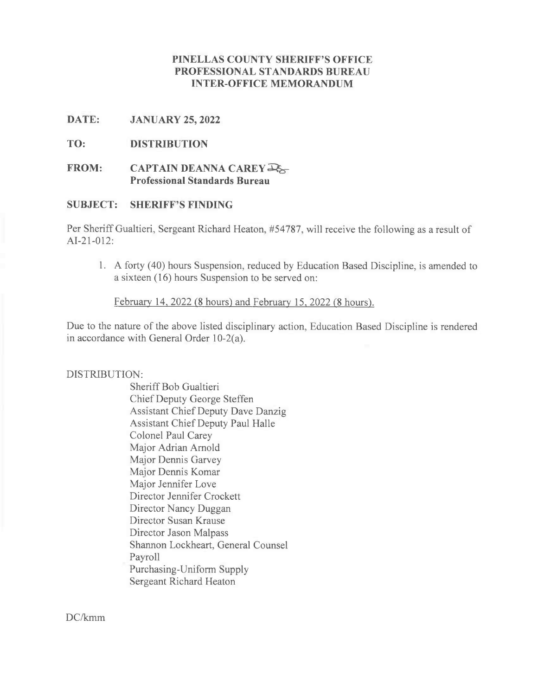# **PINELLAS COUNTY SHERIFF'S OFFICE PROFESSIONAL STANDARDS BUREAU INTER-OFFICE MEMORANDUM**

#### **DATE: JANUARY 25, 2022**

#### **TO: DISTRIBUTION**

#### **FROM: CAPTAIN DEANNA CAREY T, Professional Standards Bureau**

# **SUBJECT: SHERIFF'S FINDING**

Per Sheriff Gualtieri, Sergeant Richard Heaton, #54787, will receive the following as a result of AI-21-012:

1. A forty (40) hours Suspension, reduced by Education Based Discipline, is amended to a sixteen (16) hours Suspension to be served on:

February 14, 2022 (8 hours) and February 15, 2022 (8 hours).

Due to the nature of the above listed disciplinary action, Education Based Discipline is rendered in accordance with General Order 10-2(a).

# DISTRIBUTION:

Sheriff Bob Gualtieri Chief Deputy George Steffen Assistant Chief Deputy Dave Danzig Assistant Chief Deputy Paul Halle Colonel Paul Carey Major Adrian Arnold Major Dennis Garvey Major Dennis Komar Major Jennifer Love Director Jennifer Crockett Director Nancy Duggan Director Susan Krause Director Jason Malpass Shannon Lockheart, General Counsel Payroll Purchasing-Uniform Supply Sergeant Richard Heaton

DC/kmm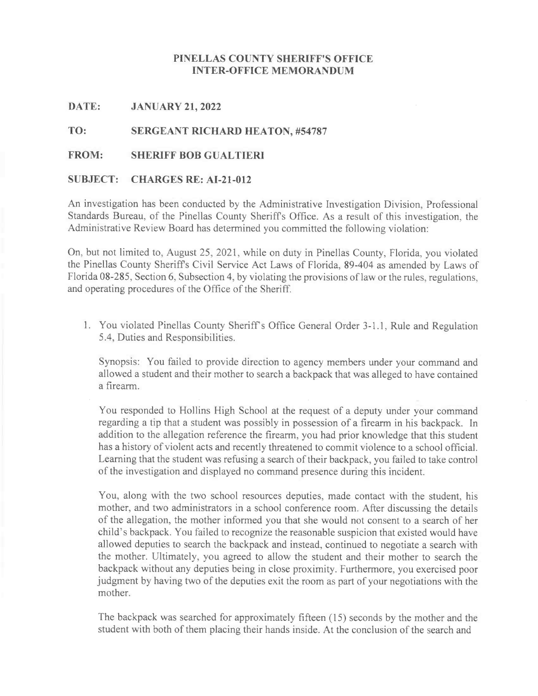# **PINELLAS COUNTY SHERIFF'S OFFICE INTER-OFFICE MEMORANDUM**

**DATE: JANUARY 21, 2022**

### **TO: SERGEANT RICHARD HEATON, #54787**

### **FROM: SHERIFF BOB GUALTIERI**

#### **SUBJECT: CHARGES RE: AI-21-012**

An investigation has been conducted by the Administrative Investigation Division, Professional Standards Bureau, of the Pinellas County Sheriffs Office. As a result of this investigation, the Administrative Review Board has determined you committed the following violation:

On, but not limited to, August 25, 2021, while on duty in Pinellas County, Florida, you violated the Pinellas County Sheriffs Civil Service Act Laws of Florida, 89-404 as amended by Laws of Florida 08-285, Section 6, Subsection 4, by violating the provisions of law or the rules, regulations, and operating procedures of the Office of the Sheriff.

1. You violated Pinellas County Sheriff's Office General Order 3-1.1, Rule and Regulation 5.4, Duties and Responsibilities.

Synopsis: You failed to provide direction to agency members under your command and allowed a student and their mother to search a backpack that was alleged to have contained a firearm.

You responded to Hollins High School at the request of a deputy under your command regarding a tip that a student was possibly in possession of a firearm in his backpack. In addition to the allegation reference the firearm, you had prior knowledge that this student has a history of violent acts and recently threatened to commit violence to a school official. Learning that the student was refusing a search of their backpack, you failed to take control of the investigation and displayed no command presence during this incident.

You, along with the two school resources deputies, made contact with the student, his mother, and two administrators in a school conference room. After discussing the details of the allegation, the mother informed you that she would not consent to a search of her child's backpack. You failed to recognize the reasonable suspicion that existed would have allowed deputies to search the backpack and instead, continued to negotiate a search with the mother. Ultimately, you agreed to allow the student and their mother to search the backpack without any deputies being in close proximity. Furthermore, you exercised poor judgment by having two of the deputies exit the room as part of your negotiations with the mother.

The backpack was searched for approximately fifteen ( 15) seconds by the mother and the student with both of them placing their hands inside. At the conclusion of the search and